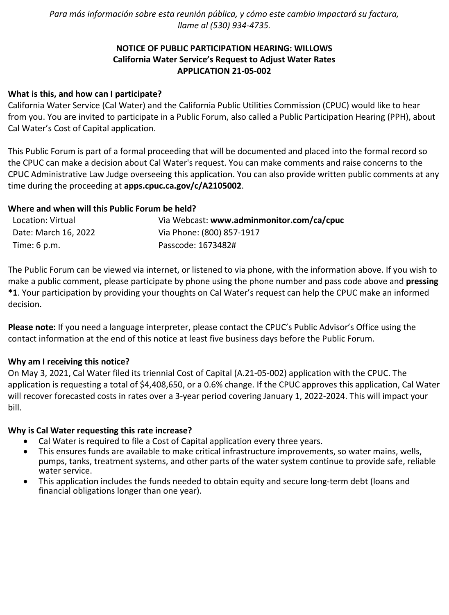*Para más información sobre esta reunión pública, y cómo este cambio impactará su factura, llame al (530) 934-4735.*

# **NOTICE OF PUBLIC PARTICIPATION HEARING: WILLOWS California Water Service's Request to Adjust Water Rates APPLICATION 21-05-002**

### **What is this, and how can I participate?**

California Water Service (Cal Water) and the California Public Utilities Commission (CPUC) would like to hear from you. You are invited to participate in a Public Forum, also called a Public Participation Hearing (PPH), about Cal Water's Cost of Capital application.

This Public Forum is part of a formal proceeding that will be documented and placed into the formal record so the CPUC can make a decision about Cal Water's request. You can make comments and raise concerns to the CPUC Administrative Law Judge overseeing this application. You can also provide written public comments at any time during the proceeding at **[apps.cpuc.ca.gov/c/A2105002](https://apps.cpuc.ca.gov/apex/f?p=401:65:0::NO:RP,57,RIR:P5_PROCEEDING_SELECT:A2105002)**.

### **Where and when will this Public Forum be held?**

| Location: Virtual      | Via Webcast: www.adminmonitor.com/ca/cpuc |
|------------------------|-------------------------------------------|
| Date: March 16, 2022   | Via Phone: (800) 857-1917                 |
| Time: $6 \text{ p.m.}$ | Passcode: 1673482#                        |

The Public Forum can be viewed via internet, or listened to via phone, with the information above. If you wish to make a public comment, please participate by phone using the phone number and pass code above and **pressing \*1**. Your participation by providing your thoughts on Cal Water's request can help the CPUC make an informed decision.

**Please note:** If you need a language interpreter, please contact the CPUC's Public Advisor's Office using the contact information at the end of this notice at least five business days before the Public Forum.

#### **Why am I receiving this notice?**

On May 3, 2021, Cal Water filed its triennial Cost of Capital (A.21-05-002) application with the CPUC. The application is requesting a total of \$4,408,650, or a 0.6% change. If the CPUC approves this application, Cal Water will recover forecasted costs in rates over a 3-year period covering January 1, 2022-2024. This will impact your bill.

#### **Why is Cal Water requesting this rate increase?**

- Cal Water is required to file a Cost of Capital application every three years.
- This ensures funds are available to make critical infrastructure improvements, so water mains, wells, pumps, tanks, treatment systems, and other parts of the water system continue to provide safe, reliable water service.
- This application includes the funds needed to obtain equity and secure long-term debt (loans and financial obligations longer than one year).